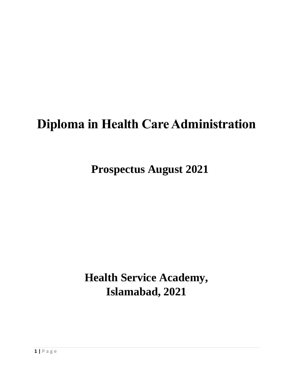# **Diploma in Health Care Administration**

**Prospectus August 2021**

**Health Service Academy, Islamabad, 2021**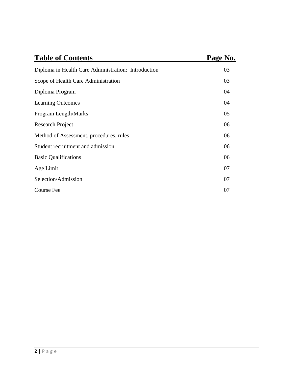| <b>Table of Contents</b>                            | Page No. |  |
|-----------------------------------------------------|----------|--|
| Diploma in Health Care Administration: Introduction | 03       |  |
| Scope of Health Care Administration                 | 03       |  |
| Diploma Program                                     | 04       |  |
| <b>Learning Outcomes</b>                            | 04       |  |
| Program Length/Marks                                | 05       |  |
| Research Project                                    | 06       |  |
| Method of Assessment, procedures, rules             | 06       |  |
| Student recruitment and admission                   | 06       |  |
| <b>Basic Qualifications</b>                         | 06       |  |
| Age Limit                                           | 07       |  |
| Selection/Admission                                 | 07       |  |
| <b>Course Fee</b>                                   | 07       |  |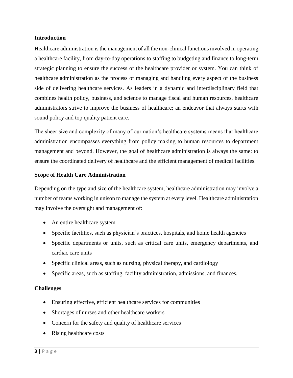#### **Introduction**

Healthcare administration is the management of all the non-clinical functions involved in operating a healthcare facility, from day-to-day operations to staffing to budgeting and finance to long-term strategic planning to ensure the success of the healthcare provider or system. You can think of healthcare administration as the process of managing and handling every aspect of the business side of delivering healthcare services. As leaders in a dynamic and interdisciplinary field that combines health policy, business, and science to manage fiscal and human resources, healthcare administrators strive to improve the business of healthcare; an endeavor that always starts with sound policy and top quality patient care.

The sheer size and complexity of many of our nation's healthcare systems means that healthcare administration encompasses everything from policy making to human resources to department management and beyond. However, the goal of healthcare administration is always the same: to ensure the coordinated delivery of healthcare and the efficient management of medical facilities.

## **Scope of Health Care Administration**

Depending on the type and size of the healthcare system, healthcare administration may involve a number of teams working in unison to manage the system at every level. Healthcare administration may involve the oversight and management of:

- An entire healthcare system
- Specific facilities, such as physician's practices, hospitals, and home health agencies
- Specific departments or units, such as critical care units, emergency departments, and cardiac care units
- Specific clinical areas, such as nursing, physical therapy, and cardiology
- Specific areas, such as staffing, facility administration, admissions, and finances.

## **Challenges**

- Ensuring effective, efficient healthcare services for communities
- Shortages of nurses and other healthcare workers
- Concern for the safety and quality of healthcare services
- Rising healthcare costs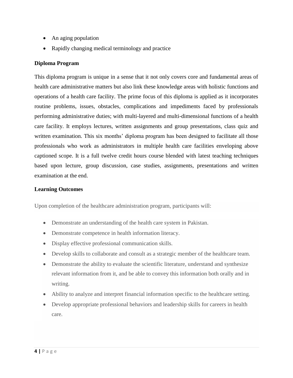- An aging population
- Rapidly changing medical terminology and practice

# **Diploma Program**

This diploma program is unique in a sense that it not only covers core and fundamental areas of health care administrative matters but also link these knowledge areas with holistic functions and operations of a health care facility. The prime focus of this diploma is applied as it incorporates routine problems, issues, obstacles, complications and impediments faced by professionals performing administrative duties; with multi-layered and multi-dimensional functions of a health care facility. It employs lectures, written assignments and group presentations, class quiz and written examination. This six months' diploma program has been designed to facilitate all those professionals who work as administrators in multiple health care facilities enveloping above captioned scope. It is a full twelve credit hours course blended with latest teaching techniques based upon lecture, group discussion, case studies, assignments, presentations and written examination at the end.

## **Learning Outcomes**

Upon completion of the healthcare administration program, participants will:

- Demonstrate an understanding of the health care system in Pakistan.
- Demonstrate competence in health information literacy.
- Display effective professional communication skills.
- Develop skills to collaborate and consult as a strategic member of the healthcare team.
- Demonstrate the ability to evaluate the scientific literature, understand and synthesize relevant information from it, and be able to convey this information both orally and in writing.
- Ability to analyze and interpret financial information specific to the healthcare setting.
- Develop appropriate professional behaviors and leadership skills for careers in health care.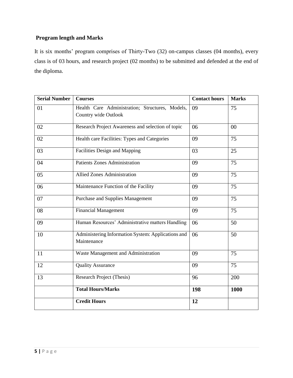# **Program length and Marks**

It is six months' program comprises of Thirty-Two (32) on-campus classes (04 months), every class is of 03 hours, and research project (02 months) to be submitted and defended at the end of the diploma.

| <b>Serial Number</b> | <b>Courses</b>                                                          | <b>Contact hours</b> | <b>Marks</b> |
|----------------------|-------------------------------------------------------------------------|----------------------|--------------|
| 01                   | Health Care Administration; Structures, Models,<br>Country wide Outlook | 09                   | 75           |
| 02                   | Research Project Awareness and selection of topic                       | 06                   | 00           |
| 02                   | Health care Facilities: Types and Categories                            | 09                   | 75           |
| 03                   | Facilities Design and Mapping                                           | 03                   | 25           |
| 04                   | <b>Patients Zones Administration</b>                                    | 09                   | 75           |
| 05                   | <b>Allied Zones Administration</b>                                      | 09                   | 75           |
| 06                   | Maintenance Function of the Facility                                    | 09                   | 75           |
| 07                   | <b>Purchase and Supplies Management</b>                                 | 09                   | 75           |
| 08                   | <b>Financial Management</b>                                             | 09                   | 75           |
| 09                   | Human Resources' Administrative matters Handling                        | 06                   | 50           |
| 10                   | Administering Information System: Applications and<br>Maintenance       | 06                   | 50           |
| 11                   | Waste Management and Administration                                     | 09                   | 75           |
| 12                   | <b>Quality Assurance</b>                                                | 09                   | 75           |
| 13                   | Research Project (Thesis)                                               | 96                   | 200          |
|                      | <b>Total Hours/Marks</b>                                                | 198                  | 1000         |
|                      | <b>Credit Hours</b>                                                     | 12                   |              |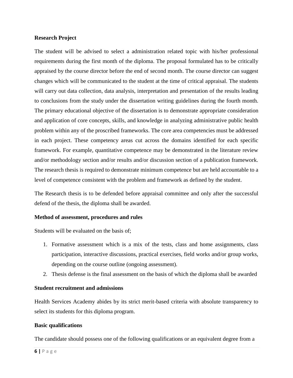#### **Research Project**

The student will be advised to select a administration related topic with his/her professional requirements during the first month of the diploma. The proposal formulated has to be critically appraised by the course director before the end of second month. The course director can suggest changes which will be communicated to the student at the time of critical appraisal. The students will carry out data collection, data analysis, interpretation and presentation of the results leading to conclusions from the study under the dissertation writing guidelines during the fourth month. The primary educational objective of the dissertation is to demonstrate appropriate consideration and application of core concepts, skills, and knowledge in analyzing administrative public health problem within any of the proscribed frameworks. The core area competencies must be addressed in each project. These competency areas cut across the domains identified for each specific framework. For example, quantitative competence may be demonstrated in the literature review and/or methodology section and/or results and/or discussion section of a publication framework. The research thesis is required to demonstrate minimum competence but are held accountable to a level of competence consistent with the problem and framework as defined by the student.

The Research thesis is to be defended before appraisal committee and only after the successful defend of the thesis, the diploma shall be awarded.

## **Method of assessment, procedures and rules**

Students will be evaluated on the basis of;

- 1. Formative assessment which is a mix of the tests, class and home assignments, class participation, interactive discussions, practical exercises, field works and/or group works, depending on the course outline (ongoing assessment).
- 2. Thesis defense is the final assessment on the basis of which the diploma shall be awarded

## **Student recruitment and admissions**

Health Services Academy abides by its strict merit-based criteria with absolute transparency to select its students for this diploma program.

#### **Basic qualifications**

The candidate should possess one of the following qualifications or an equivalent degree from a